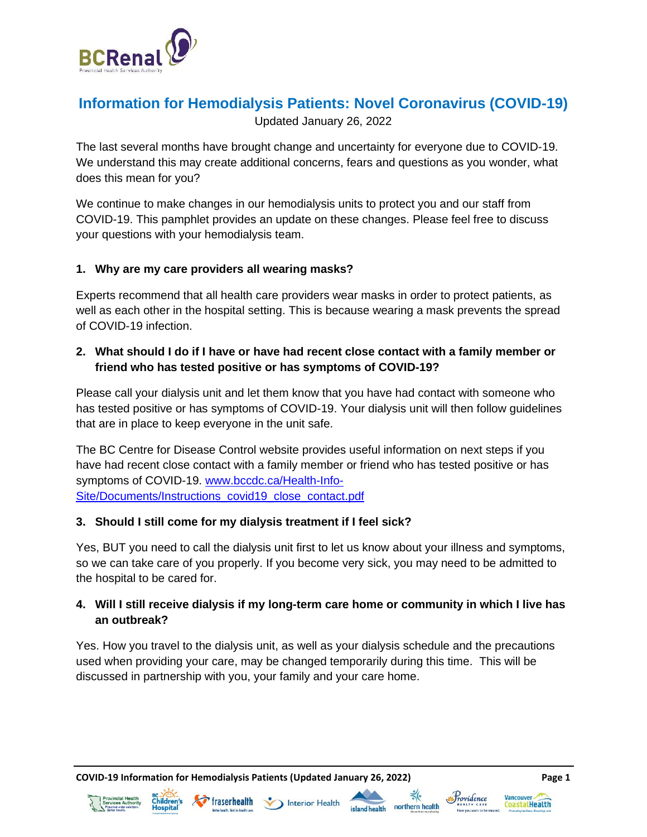

# **Information for Hemodialysis Patients: Novel Coronavirus (COVID-19)**

Updated January 26, 2022

The last several months have brought change and uncertainty for everyone due to COVID-19. We understand this may create additional concerns, fears and questions as you wonder, what does this mean for you?

We continue to make changes in our hemodialysis units to protect you and our staff from COVID-19. This pamphlet provides an update on these changes. Please feel free to discuss your questions with your hemodialysis team.

### **1. Why are my care providers all wearing masks?**

Experts recommend that all health care providers wear masks in order to protect patients, as well as each other in the hospital setting. This is because wearing a mask prevents the spread of COVID-19 infection.

# **2. What should I do if I have or have had recent close contact with a family member or friend who has tested positive or has symptoms of COVID-19?**

Please call your dialysis unit and let them know that you have had contact with someone who has tested positive or has symptoms of COVID-19. Your dialysis unit will then follow guidelines that are in place to keep everyone in the unit safe.

The BC Centre for Disease Control website provides useful information on next steps if you have had recent close contact with a family member or friend who has tested positive or has symptoms of COVID-19. [www.bccdc.ca/Health-Info-](http://www.bccdc.ca/Health-Info-Site/Documents/Instructions_covid19_close_contact.pdf)[Site/Documents/Instructions\\_covid19\\_close\\_contact.pdf](http://www.bccdc.ca/Health-Info-Site/Documents/Instructions_covid19_close_contact.pdf)

#### **3. Should I still come for my dialysis treatment if I feel sick?**

Yes, BUT you need to call the dialysis unit first to let us know about your illness and symptoms, so we can take care of you properly. If you become very sick, you may need to be admitted to the hospital to be cared for.

# **4. Will I still receive dialysis if my long-term care home or community in which I live has an outbreak?**

Yes. How you travel to the dialysis unit, as well as your dialysis schedule and the precautions used when providing your care, may be changed temporarily during this time. This will be discussed in partnership with you, your family and your care home.

**COVID-19 Information for Hemodialysis Patients (Updated January 26, 2022) Page 1**











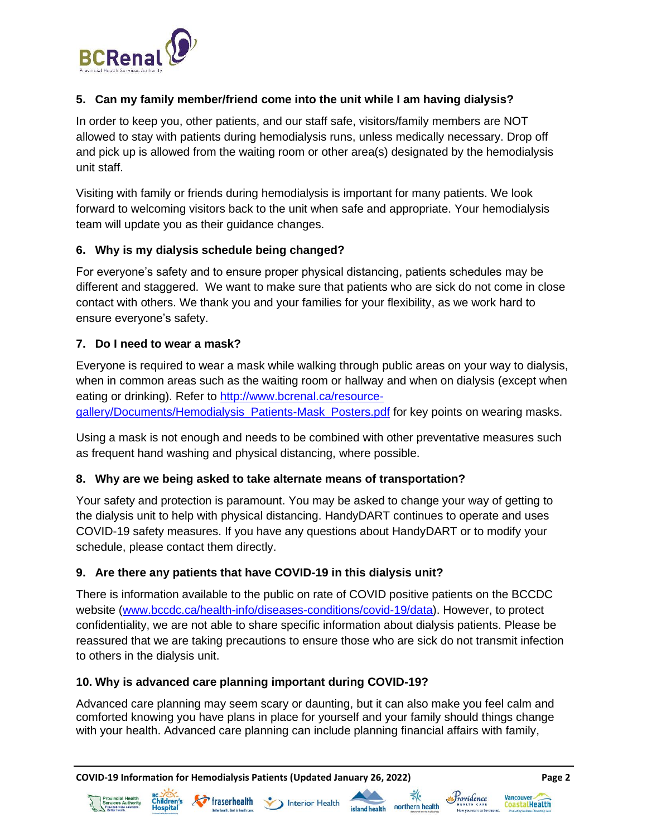

# **5. Can my family member/friend come into the unit while I am having dialysis?**

In order to keep you, other patients, and our staff safe, visitors/family members are NOT allowed to stay with patients during hemodialysis runs, unless medically necessary. Drop off and pick up is allowed from the waiting room or other area(s) designated by the hemodialysis unit staff.

Visiting with family or friends during hemodialysis is important for many patients. We look forward to welcoming visitors back to the unit when safe and appropriate. Your hemodialysis team will update you as their guidance changes.

#### **6. Why is my dialysis schedule being changed?**

For everyone's safety and to ensure proper physical distancing, patients schedules may be different and staggered. We want to make sure that patients who are sick do not come in close contact with others. We thank you and your families for your flexibility, as we work hard to ensure everyone's safety.

#### **7. Do I need to wear a mask?**

Everyone is required to wear a mask while walking through public areas on your way to dialysis, when in common areas such as the waiting room or hallway and when on dialysis (except when eating or drinking). Refer to [http://www.bcrenal.ca/resource-](http://www.bcrenal.ca/resource-gallery/Documents/Hemodialysis_Patients-Mask_Posters.pdf)

[gallery/Documents/Hemodialysis\\_Patients-Mask\\_Posters.pdf](http://www.bcrenal.ca/resource-gallery/Documents/Hemodialysis_Patients-Mask_Posters.pdf) for key points on wearing masks.

Using a mask is not enough and needs to be combined with other preventative measures such as frequent hand washing and physical distancing, where possible.

#### **8. Why are we being asked to take alternate means of transportation?**

Your safety and protection is paramount. You may be asked to change your way of getting to the dialysis unit to help with physical distancing. HandyDART continues to operate and uses COVID-19 safety measures. If you have any questions about HandyDART or to modify your schedule, please contact them directly.

#### **9. Are there any patients that have COVID-19 in this dialysis unit?**

There is information available to the public on rate of COVID positive patients on the BCCDC website [\(www.bccdc.ca/health-info/diseases-conditions/covid-19/data\)](http://www.bccdc.ca/health-info/diseases-conditions/covid-19/data). However, to protect confidentiality, we are not able to share specific information about dialysis patients. Please be reassured that we are taking precautions to ensure those who are sick do not transmit infection to others in the dialysis unit.

#### **10. Why is advanced care planning important during COVID-19?**

Advanced care planning may seem scary or daunting, but it can also make you feel calm and comforted knowing you have plans in place for yourself and your family should things change with your health. Advanced care planning can include planning financial affairs with family,

**COVID-19 Information for Hemodialysis Patients (Updated January 26, 2022) Page 2**











**Vancouver** 

CoastalHealth